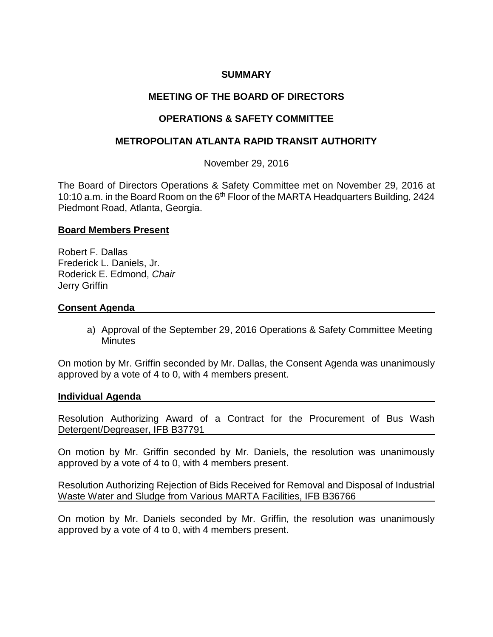## **SUMMARY**

# **MEETING OF THE BOARD OF DIRECTORS**

# **OPERATIONS & SAFETY COMMITTEE**

### **METROPOLITAN ATLANTA RAPID TRANSIT AUTHORITY**

November 29, 2016

The Board of Directors Operations & Safety Committee met on November 29, 2016 at 10:10 a.m. in the Board Room on the 6<sup>th</sup> Floor of the MARTA Headquarters Building, 2424 Piedmont Road, Atlanta, Georgia.

#### **Board Members Present**

Robert F. Dallas Frederick L. Daniels, Jr. Roderick E. Edmond, *Chair* Jerry Griffin

### **Consent Agenda**

a) Approval of the September 29, 2016 Operations & Safety Committee Meeting **Minutes** 

On motion by Mr. Griffin seconded by Mr. Dallas, the Consent Agenda was unanimously approved by a vote of 4 to 0, with 4 members present.

#### **Individual Agenda**

Resolution Authorizing Award of a Contract for the Procurement of Bus Wash Detergent/Degreaser, IFB B37791

On motion by Mr. Griffin seconded by Mr. Daniels, the resolution was unanimously approved by a vote of 4 to 0, with 4 members present.

Resolution Authorizing Rejection of Bids Received for Removal and Disposal of Industrial Waste Water and Sludge from Various MARTA Facilities, IFB B36766

On motion by Mr. Daniels seconded by Mr. Griffin, the resolution was unanimously approved by a vote of 4 to 0, with 4 members present.